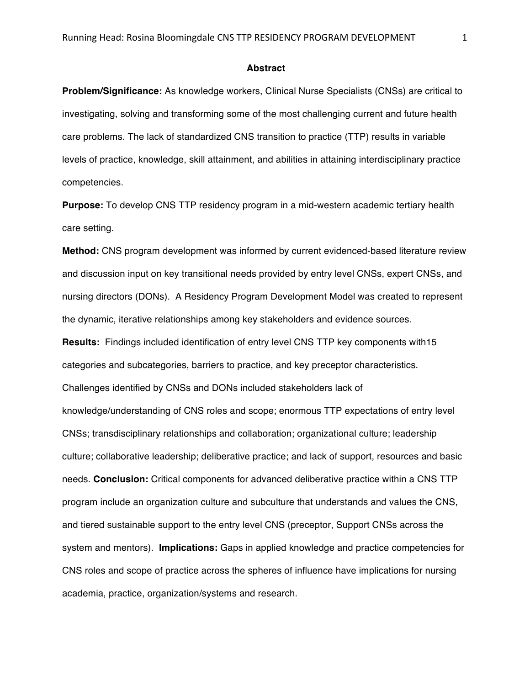## **Abstract**

**Problem/Significance:** As knowledge workers, Clinical Nurse Specialists (CNSs) are critical to investigating, solving and transforming some of the most challenging current and future health care problems. The lack of standardized CNS transition to practice (TTP) results in variable levels of practice, knowledge, skill attainment, and abilities in attaining interdisciplinary practice competencies.

**Purpose:** To develop CNS TTP residency program in a mid-western academic tertiary health care setting.

**Method:** CNS program development was informed by current evidenced-based literature review and discussion input on key transitional needs provided by entry level CNSs, expert CNSs, and nursing directors (DONs). A Residency Program Development Model was created to represent the dynamic, iterative relationships among key stakeholders and evidence sources.

**Results:** Findings included identification of entry level CNS TTP key components with15 categories and subcategories, barriers to practice, and key preceptor characteristics. Challenges identified by CNSs and DONs included stakeholders lack of knowledge/understanding of CNS roles and scope; enormous TTP expectations of entry level CNSs; transdisciplinary relationships and collaboration; organizational culture; leadership culture; collaborative leadership; deliberative practice; and lack of support, resources and basic needs. **Conclusion:** Critical components for advanced deliberative practice within a CNS TTP program include an organization culture and subculture that understands and values the CNS, and tiered sustainable support to the entry level CNS (preceptor, Support CNSs across the system and mentors). **Implications:** Gaps in applied knowledge and practice competencies for CNS roles and scope of practice across the spheres of influence have implications for nursing academia, practice, organization/systems and research.